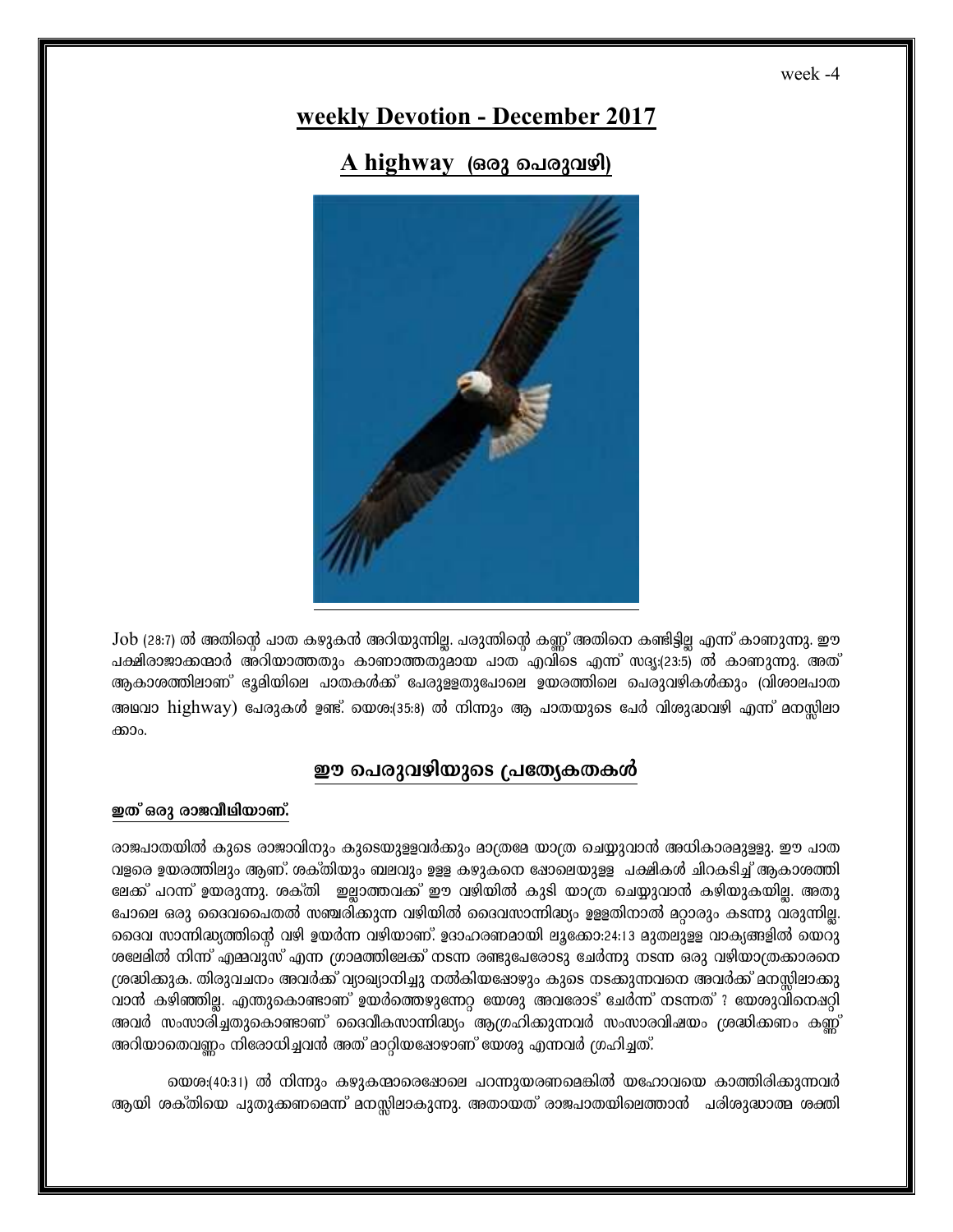## **weekly Devotion - December 2017**

A highway (๑๑ว ๑ ๒๐ ๑๓)



Job (28:7) ൽ അതിന്റെ പാത കഴുകൻ അറിയുന്നില്ല. പരുന്തിന്റെ കണ്ണ് അതിനെ കണ്ടിട്ടില്ല എന്ന് കാണുന്നു. ഈ ചക്ഷിരാജാക്കന്മാർ അറിയാത്തതും കാണാത്തതുമായ പാത<sup>്</sup>എവിടെ എന്ന് സദൃ:(23:5) ൽ കാണുന്നു. അത് ആകാശത്തിലാണ് ഭൂമിയിലെ പാതകൾക്ക് പേരുളളതുപോലെ ഉയരത്തിലെ പെരുവഴികൾക്കും (വിശാലപാത അഥവാ highway) പേരുകൾ ഉണ്ട്. യെശ:(35:8) ൽ നിന്നും ആ പാതയുടെ പേർ വിശുദ്ധവഴി എന്ന° മനസ്സിലാ ക്കാം.

### ഈ പെരുവഴിയുടെ പ്രത്യേകതകൾ

#### ഇത് ഒരു രാജവീഥിയാണ്.

രാജപാതയിൽ കുടെ രാജാവിനും കുടെയുളളവർക്കും മാത്രമേ യാത്ര ചെയ്യുവാൻ അധികാരമുള്ളു. ഈ പാത വളരെ ഉയരത്തിലും ആണ്. ശക്തിയും ബലവും ഉള്ള കഴുകനെ ഷോലെയുള്ള പക്ഷികൾ ചിറകടിച്ച് ആകാശത്തി ലേക്ക് പറന്ന് ഉയരുന്നു. ശക്തി ഇല്ലാത്തവക്ക് ഈ വഴിയിൽ കുടി യാത്ര ചെയ്യുവാൻ കഴിയുകയില്ല. അതു പോലെ ഒരു ദൈവചൈതൽ സഞ്ചരിക്കുന്ന വഴിയിൽ ദൈവസാന്നിദ്ധ്യം ഉളളതിനാൽ മറ്റാരും കടന്നു വരുന്നില്ല. ടെെവ സാന്നിദ്ധ്യത്തിന്റെ വഴി ഉയർന്ന വഴിയാണ്. ഉദാഹരണമായി ലൂക്കോ:24:13 മുതലുളള വാക്യങ്ങളിൽ യെറു ശലേമിൽ നിന്ന് എമ്മവുസ് എന്ന ഗ്രാമത്തിലേക്ക് നടന്ന രണ്ടുപേരോടു ചേർന്നു നടന്ന ഒരു വഴിയാത്രക്കാരനെ (ശദ്ധിക്കുക. തിരുവചനം അവർക്ക് വ്യാഖ്യാനിച്ചു നൽകിയഷോഴും കുടെ നടക്കുന്നവനെ അവർക്ക് മനസ്സിലാക്കു വാൻ കഴിഞ്ഞില്ല. എന്തുകൊണ്ടാണ് ഉയർത്തെഴുന്നേറ്റ യേശു അവരോട് ചേർന്ന് നടന്നത് ? യേശുവിനെ**ഷറ്റി** അവർ സംസാരിച്ചതുകൊണ്ടാണ് ദൈവീകസാന്നിദ്ധ്യം ആഗ്രഹിക്കുന്നവർ സംസാരവിഷയം ശ്രദ്ധിക്കണം കണ്ണ് അറിയാതെവണ്ണം നിരോധിച്ചവൻ അത് മാറ്റിയഷോഴാണ് യേശു എന്നവർ ഗ്രഹിച്ചത്.

യെശ:(40:31) ൽ നിന്നും കഴുകന്മാരെഷോലെ പറന്നുയരണമെങ്കിൽ യഹോവയെ കാത്തിരിക്കുന്നവർ ആയി ശക്തിയെ പുതുക്കണമെന്ന് മനസ്സിലാകുന്നു. അതായത് രാജപാതയിലെത്താൻ പരിശുദ്ധാത്മ ശക്തി